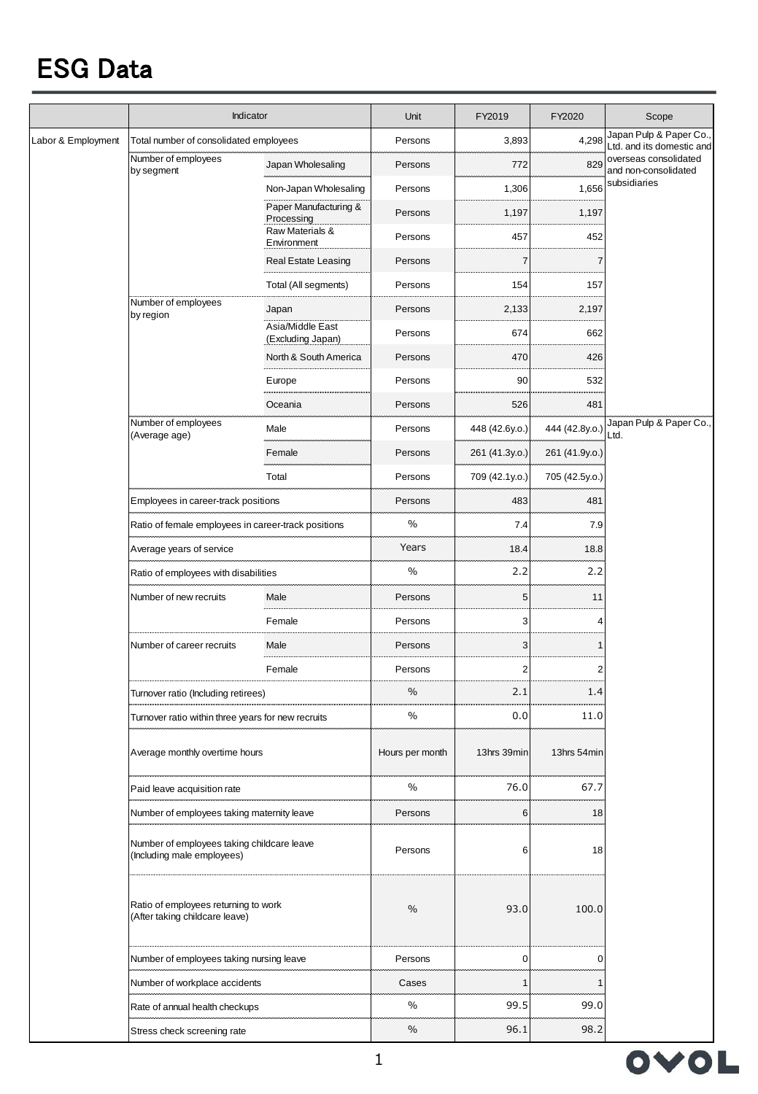## ESG Data

|                    | Indicator                                                                |                                       | Unit            | FY2019         | FY2020         | Scope                                                         |
|--------------------|--------------------------------------------------------------------------|---------------------------------------|-----------------|----------------|----------------|---------------------------------------------------------------|
| Labor & Employment | Total number of consolidated employees                                   |                                       | Persons         | 3,893          | 4,298          | Japan Pulp & Paper Co.,<br>Ltd. and its domestic and          |
|                    | Number of employees<br>by segment                                        | Japan Wholesaling                     | Persons         | 772            | 829            | overseas consolidated<br>and non-consolidated<br>subsidiaries |
|                    |                                                                          | Non-Japan Wholesaling                 | Persons         | 1,306          | 1,656          |                                                               |
|                    |                                                                          | Paper Manufacturing &<br>Processing   | Persons         | 1,197          | 1,197          |                                                               |
|                    |                                                                          | Raw Materials &<br>Environment        | Persons         | 457            | 452            |                                                               |
|                    |                                                                          | <b>Real Estate Leasing</b>            | Persons         | $\overline{7}$ | $\overline{7}$ |                                                               |
|                    |                                                                          | Total (All segments)                  | Persons         | 154            | 157            |                                                               |
|                    | Number of employees<br>by region                                         | Japan                                 | Persons         | 2,133          | 2,197          |                                                               |
|                    |                                                                          | Asia/Middle East<br>(Excluding Japan) | Persons         | 674            | 662            |                                                               |
|                    |                                                                          | North & South America                 | Persons         | 470            | 426            |                                                               |
|                    |                                                                          | Europe                                | Persons         | 90             | 532            |                                                               |
|                    |                                                                          | Oceania                               | Persons         | 526            | 481            |                                                               |
|                    | Number of employees<br>(Average age)                                     | Male                                  | Persons         | 448 (42.6y.o.) | 444 (42.8y.o.) | Japan Pulp & Paper Co.,<br>Ltd.                               |
|                    |                                                                          | Female                                | Persons         | 261 (41.3y.o.) | 261 (41.9y.o.) |                                                               |
|                    |                                                                          | Total                                 | Persons         | 709 (42.1y.o.) | 705 (42.5y.o.) |                                                               |
|                    | Employees in career-track positions                                      |                                       | Persons         | 483            | 481            |                                                               |
|                    | Ratio of female employees in career-track positions                      |                                       | $\frac{0}{0}$   | 7.4            | 7.9            |                                                               |
|                    | Average years of service                                                 |                                       | Years           | 18.4           | 18.8           |                                                               |
|                    | Ratio of employees with disabilities                                     |                                       | $\%$            | 2.2            | 2.2            |                                                               |
|                    | Number of new recruits                                                   | Male                                  | Persons         | 5              | 11             |                                                               |
|                    |                                                                          | Female                                | Persons         | 3              | 4              |                                                               |
|                    | Number of career recruits                                                | Male                                  | Persons         | 3              | 1              |                                                               |
|                    |                                                                          | Female                                | Persons         | $\overline{c}$ | $\overline{2}$ |                                                               |
|                    | Turnover ratio (Including retirees)                                      |                                       | %               | 2.1            | 1.4            |                                                               |
|                    | Turnover ratio within three years for new recruits                       |                                       | $\%$            | 0.0            | 11.0           |                                                               |
|                    | Average monthly overtime hours                                           |                                       | Hours per month | 13hrs 39min    | 13hrs 54min    |                                                               |
|                    | Paid leave acquisition rate                                              |                                       | %               | 76.0           | 67.7           |                                                               |
|                    | Number of employees taking maternity leave                               |                                       | Persons         | 6              | 18             |                                                               |
|                    | Number of employees taking childcare leave<br>(Including male employees) |                                       | Persons         | 6              | 18             |                                                               |
|                    | Ratio of employees returning to work<br>(After taking childcare leave)   |                                       | $\%$            | 93.0           | 100.0          |                                                               |
|                    | Number of employees taking nursing leave                                 |                                       | Persons         | 0              | 0              |                                                               |
|                    | Number of workplace accidents                                            |                                       | Cases           | $\mathbf{1}$   |                |                                                               |
|                    | Rate of annual health checkups                                           |                                       | %               | 99.5           | 99.0           |                                                               |
|                    | Stress check screening rate                                              |                                       | $\%$            | 96.1           | 98.2           |                                                               |

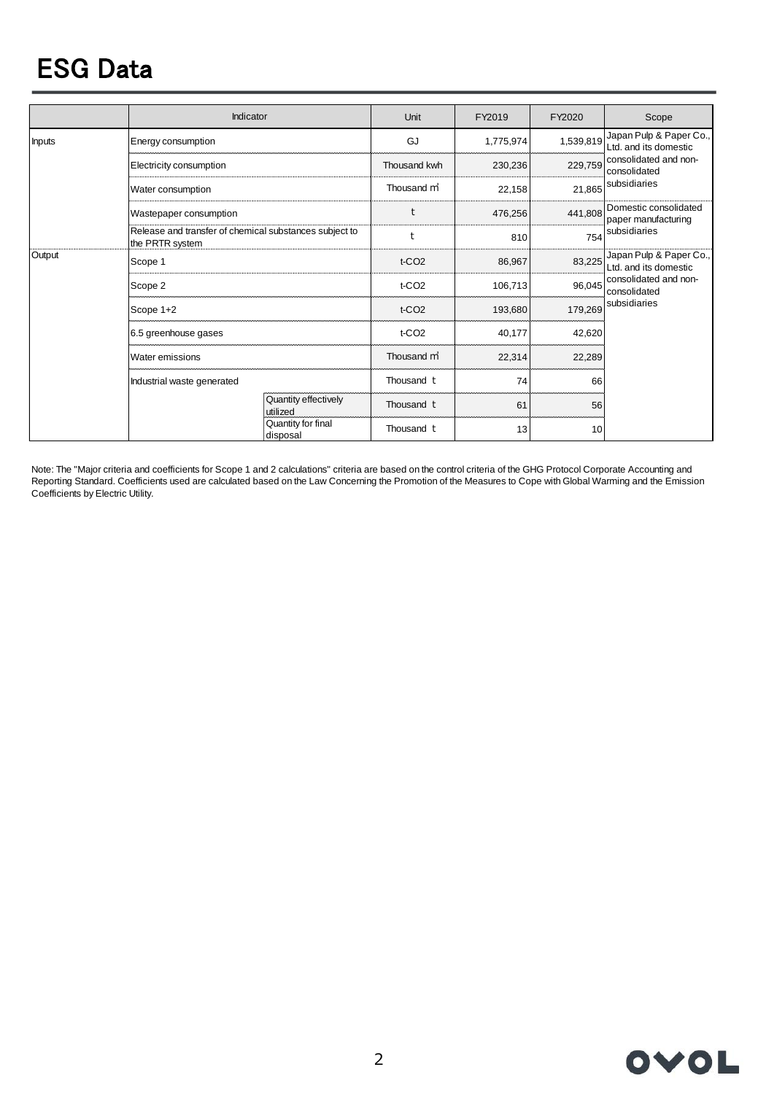## ESG Data

|               | Indicator                                                                 |                                  | Unit                 | FY2019    | FY2020    | Scope                                                 |  |
|---------------|---------------------------------------------------------------------------|----------------------------------|----------------------|-----------|-----------|-------------------------------------------------------|--|
| <b>Inputs</b> | Energy consumption                                                        |                                  | GJ                   | 1,775,974 | 1,539,819 | Japan Pulp & Paper Co.,<br>Ltd. and its domestic      |  |
|               | Electricity consumption                                                   |                                  | Thousand kwh         | 230,236   | 229,759   | consolidated and non-<br>consolidated<br>subsidiaries |  |
|               | Water consumption                                                         |                                  | Thousand m           | 22,158    | 21,865    |                                                       |  |
|               | Wastepaper consumption                                                    |                                  | t                    | 476,256   | 441,808   | Domestic consolidated<br>paper manufacturing          |  |
|               | Release and transfer of chemical substances subject to<br>the PRTR system |                                  | t                    | 810       | 754       | subsidiaries                                          |  |
| Output        | Scope 1                                                                   |                                  | $t$ -CO <sub>2</sub> | 86,967    | 83,225    | Japan Pulp & Paper Co.,<br>Ltd. and its domestic      |  |
|               | Scope 2                                                                   |                                  | $t$ -CO <sub>2</sub> | 106,713   | 96,045    | consolidated and non-<br>consolidated                 |  |
|               | Scope 1+2                                                                 |                                  | $t$ -CO <sub>2</sub> | 193,680   | 179,269   | subsidiaries                                          |  |
|               | 6.5 greenhouse gases                                                      |                                  | t-CO <sub>2</sub>    | 40,177    | 42,620    |                                                       |  |
|               | Water emissions                                                           |                                  | Thousand m           | 22,314    | 22,289    |                                                       |  |
|               | Industrial waste generated                                                |                                  | Thousand t           | 74        | 66        |                                                       |  |
|               |                                                                           | Quantity effectively<br>utilized | Thousand t           | 61        | 56        |                                                       |  |
|               |                                                                           | Quantity for final<br>disposal   | Thousand t           | 13        | 10        |                                                       |  |

Note: The "Major criteria and coefficients for Scope 1 and 2 calculations" criteria are based on the control criteria of the GHG Protocol Corporate Accounting and Reporting Standard. Coefficients used are calculated based on the Law Concerning the Promotion of the Measures to Cope with Global Warming and the Emission Coefficients by Electric Utility.

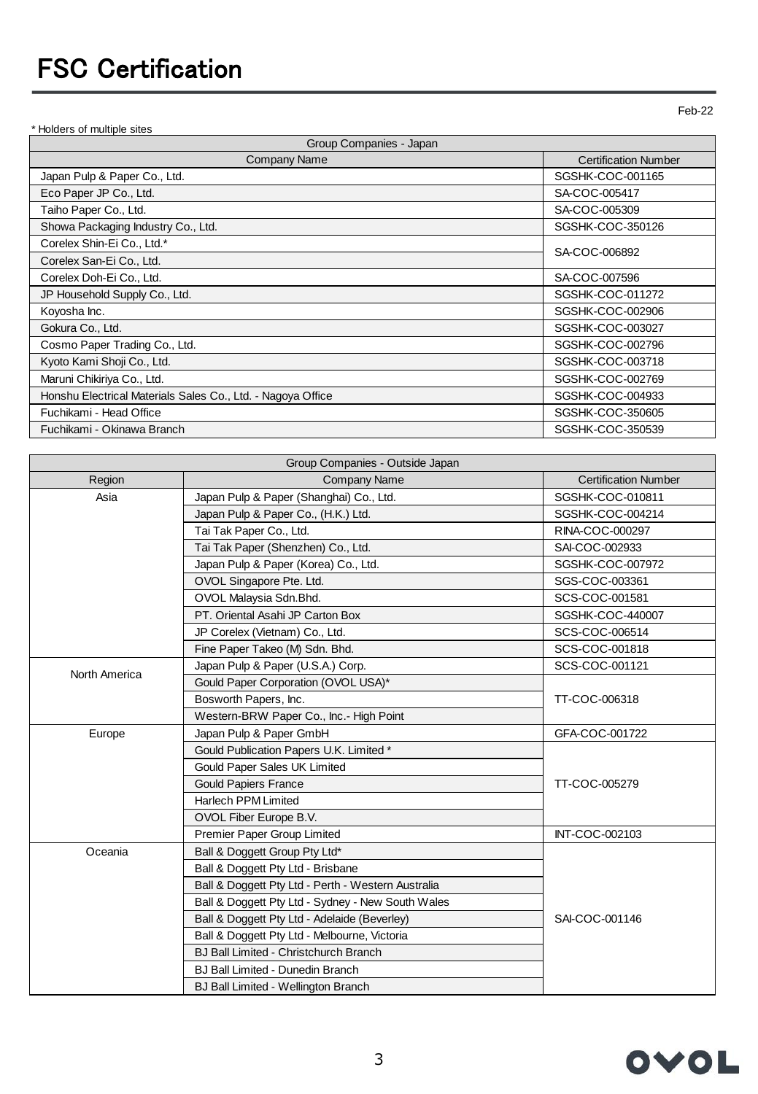\* Holders of multiple sites

Feb-22

| Group Companies - Japan<br>Company Name<br><b>Certification Number</b> |                  |  |
|------------------------------------------------------------------------|------------------|--|
| Japan Pulp & Paper Co., Ltd.                                           | SGSHK-COC-001165 |  |
| Eco Paper JP Co., Ltd.                                                 | SA-COC-005417    |  |
| Taiho Paper Co., Ltd.                                                  | SA-COC-005309    |  |
| Showa Packaging Industry Co., Ltd.                                     | SGSHK-COC-350126 |  |
| Corelex Shin-Ei Co., Ltd.*                                             | SA-COC-006892    |  |
| Corelex San-Ei Co., Ltd.                                               |                  |  |
| Corelex Doh-Ei Co., Ltd.                                               | SA-COC-007596    |  |
| JP Household Supply Co., Ltd.                                          | SGSHK-COC-011272 |  |
| Koyosha Inc.                                                           | SGSHK-COC-002906 |  |
| Gokura Co., Ltd.                                                       | SGSHK-COC-003027 |  |
| Cosmo Paper Trading Co., Ltd.                                          | SGSHK-COC-002796 |  |
| Kyoto Kami Shoji Co., Ltd.                                             | SGSHK-COC-003718 |  |
| Maruni Chikiriya Co., Ltd.                                             | SGSHK-COC-002769 |  |
| Honshu Electrical Materials Sales Co., Ltd. - Nagoya Office            | SGSHK-COC-004933 |  |
| Fuchikami - Head Office                                                | SGSHK-COC-350605 |  |
| Fuchikami - Okinawa Branch                                             | SGSHK-COC-350539 |  |

| Group Companies - Outside Japan |                                                    |                             |  |  |
|---------------------------------|----------------------------------------------------|-----------------------------|--|--|
| Region                          | <b>Company Name</b>                                | <b>Certification Number</b> |  |  |
| Asia                            | Japan Pulp & Paper (Shanghai) Co., Ltd.            | SGSHK-COC-010811            |  |  |
|                                 | Japan Pulp & Paper Co., (H.K.) Ltd.                | SGSHK-COC-004214            |  |  |
|                                 | Tai Tak Paper Co., Ltd.                            | RINA-COC-000297             |  |  |
|                                 | Tai Tak Paper (Shenzhen) Co., Ltd.                 | SAI-COC-002933              |  |  |
|                                 | Japan Pulp & Paper (Korea) Co., Ltd.               | SGSHK-COC-007972            |  |  |
|                                 | OVOL Singapore Pte. Ltd.                           | SGS-COC-003361              |  |  |
|                                 | OVOL Malaysia Sdn.Bhd.                             | SCS-COC-001581              |  |  |
|                                 | PT. Oriental Asahi JP Carton Box                   | SGSHK-COC-440007            |  |  |
|                                 | JP Corelex (Vietnam) Co., Ltd.                     | SCS-COC-006514              |  |  |
|                                 | Fine Paper Takeo (M) Sdn. Bhd.                     | SCS-COC-001818              |  |  |
| North America                   | Japan Pulp & Paper (U.S.A.) Corp.                  | SCS-COC-001121              |  |  |
|                                 | Gould Paper Corporation (OVOL USA)*                |                             |  |  |
|                                 | Bosworth Papers, Inc.<br>TT-COC-006318             |                             |  |  |
|                                 | Western-BRW Paper Co., Inc.- High Point            |                             |  |  |
| Europe                          | Japan Pulp & Paper GmbH                            | GFA-COC-001722              |  |  |
|                                 | Gould Publication Papers U.K. Limited *            |                             |  |  |
|                                 | Gould Paper Sales UK Limited                       |                             |  |  |
|                                 | <b>Gould Papiers France</b>                        | TT-COC-005279               |  |  |
|                                 | <b>Harlech PPM Limited</b>                         |                             |  |  |
|                                 | OVOL Fiber Europe B.V.                             |                             |  |  |
|                                 | Premier Paper Group Limited                        | INT-COC-002103              |  |  |
| Oceania                         | Ball & Doggett Group Pty Ltd*                      |                             |  |  |
|                                 | Ball & Doggett Pty Ltd - Brisbane                  |                             |  |  |
|                                 | Ball & Doggett Pty Ltd - Perth - Western Australia |                             |  |  |
|                                 | Ball & Doggett Pty Ltd - Sydney - New South Wales  |                             |  |  |
|                                 | Ball & Doggett Pty Ltd - Adelaide (Beverley)       | SAI-COC-001146              |  |  |
|                                 | Ball & Doggett Pty Ltd - Melbourne, Victoria       |                             |  |  |
|                                 | <b>BJ Ball Limited - Christchurch Branch</b>       |                             |  |  |
|                                 | <b>BJ Ball Limited - Dunedin Branch</b>            |                             |  |  |
|                                 | <b>BJ Ball Limited - Wellington Branch</b>         |                             |  |  |